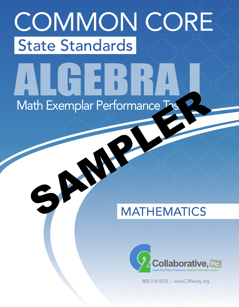# COMMON CORE State Standards

# Math Exemplar Performance Tas ALGEBRA I ath Exemplar Performance Tx

# MATHEMATICS



800.318.4555 | www.C2Ready.org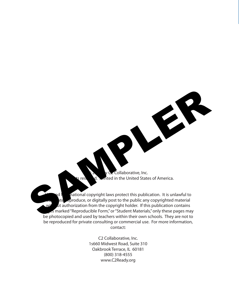Collaborative, Inc. s reserved. **Printed in the United States of America.** 

SAMPLER

national copyright laws protect this publication. It is unlawful to  $\epsilon$  produce, or digitally post to the public any copyrighted material at authorization from the copyright holder. If this publication contains **es marked "Reproducible Form," or "Student Materials," only these pages may** be photocopied and used by teachers within their own schools. They are not to be reproduced for private consulting or commercial use. For more information, contact:

> C2 Collaborative, Inc. 1s660 Midwest Road, Suite 310 Oakbrook Terrace, IL 60181 (800) 318-4555 www.C2Ready.org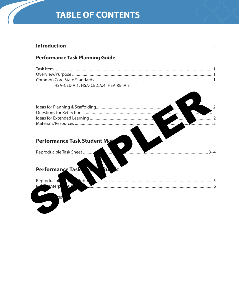# **TABLE OF CONTENTS**

# **Introduction**

# **Performance Task Planning Guide**

| HSA-CED.A.1, HSA-CED.A.4, HSA.REI.A.3 |  |
|---------------------------------------|--|

| La Company de la Company de la Company de la Company de la Company de la Company de la Company de la Company de la Company de la Company de la Company de la Company de la Company de la Company de la Company de la Company d |
|--------------------------------------------------------------------------------------------------------------------------------------------------------------------------------------------------------------------------------|
| 2                                                                                                                                                                                                                              |
|                                                                                                                                                                                                                                |

# Performance Task Student Mate

Reproducible Task Sheet ........

# Performance Task



. . . . . . . . . . . . . . . . . . . .

# $\mathbf{i}$

........................3-4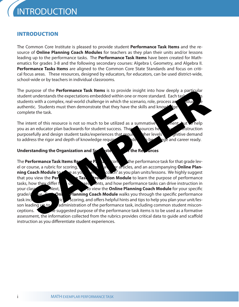# INTRODUCTION

The Common Core Institute is pleased to provide student **Performance Task Items** and the resource of **Online Planning Coach Modules** for teachers as they plan their units and/or lessons leading up to the performance tasks. The **Performance Task Items** have been created for Mathematics for grades 3-8 and the following secondary courses: Algebra I, Geometry, and Algebra II. **Performance Tasks Items** are aligned to the Common Core State Standards and focus on critical focus areas. These resources, designed by educators, for educators, can be used district-wide, school-wide or by teachers in individual classrooms.

The purpose of the **Performance Task Items** is to provide insight into how deeply a particular student understands the expectations embedded within one or more standard. Each task students with a complex, real-world challenge in which the scenario, role, process and product authentic. Students must then demonstrate that they have the skills and know complete the task.

The intent of this resource is not so much to be utilized as a summative as a nent, but to help you as an educator plan backwards for student success. These sources help you plan instruction purposefully and design student tasks/experiences that required the levels of comand to address the rigor and depth of knowledge required for students to be college and career ready.

# Understanding the Organization and Suses of the Resources

The **Performance Task Items Resource Package contains the performance task for that grade lev**el or course, a rubric for scoring, student resources or articles, and an accompanying **Online Planning Coach Module** to see as you see the coach" as you plan units/lessons. We highly suggest that you view the **Performance** Task **Introduction Module** to learn the purpose of performance tasks, how they differ  $f \circ \alpha$  sespectively and how performance tasks can drive instruction in your class Next, Next, your class Next, your class Next, when the **Online Planning Coach Module** for your specific grade/c<sub>se.</sub> Each **Onling Planning Coach Module** walks you through the specific performance task including the rubric scoring, and offers helpful hints and tips to help you plan your unit/lesson leading up to administration of the performance task, including common student misconceptions. Since the suggested purpose of the performance task items is to be used as a formative assessment, the information collected from the rubrics provides critical data to guide and scaffold instruction as you differentiate student experiences. purpose of the **Performance Task Items** is to provide insight into how deeply a particular<br>ent understands the expectations embedded within one or more standard. Each task<br>entis. Students must then demonstrate that they ha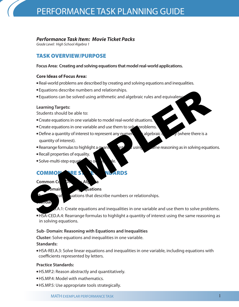# *Performance Task Item: Movie Ticket Packs*

*Grade Level: High School Algebra 1*

# TASK OVERVIEW/PURPOSE

# **Focus Area: Creating and solving equations that model real-world applications.**

# **Core Ideas of Focus Area:**

- Real-world problems are described by creating and solving equations and inequalities.
- <sup>l</sup>Equations describe numbers and relationships.
- Equations can be solved using arithmetic and algebraic rules and equivalence

# **Learning Targets:**

Students should be able to:

- Create equations in one variable to model real-world situations.
- Create equations in one variable and use them to solve problems.
- Define a quantity of interest to represent any numerical dependence of  $\sqrt{ }$  (where there is a quantity of interest). Equations describe numbers and relationships.<br>
Equations can be solved using arithmetic and algebraic rules and equivalent<br>
Learning Targets:<br>
Students should be able to:<br>
Create equations in one variable and use them to s
	- Rearrange formulas to highlight a quantity of interest using  $\epsilon$  ame reasoning as in solving equations.
	- Recall properties of equality.
	- $\bullet$  Solve-multi-step equations in one value.

# COMMON PREST E NUARDS

# **Common Co**

# **Substitutions Example 20** and **Equations**

**Cat C**uations that describe numbers or relationships.

### **Standards:**

- $H.S.1$ : Create equations and inequalities in one variable and use them to solve problems.
- HSA-CED.A.4: Rearrange formulas to highlight a quantity of interest using the same reasoning as in solving equations.

# **Sub- Domain: Reasoning with Equations and Inequalities**

**Cluster:** Solve equations and inequalities in one variable.

# **Standards:**

<sup>l</sup>HSA-REI.A.3: Solve linear equations and inequalities in one variable, including equations with coefficients represented by letters.

# **Practice Standards:**

- HS.MP.2: Reason abstractly and quantitatively.
- $\bullet$  HS.MP.4: Model with mathematics.
- HS.MP.5: Use appropriate tools strategically.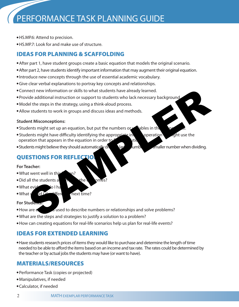# PERFORMANCE TASK PLANNING GUIDE

- HS.MP.6: Attend to precision.
- HS.MP.7: Look for and make use of structure.

# IDEAS FOR PLANNING & SCAFFOLDING

- After part 1, have student groups create a basic equation that models the original scenario.
- After part 2, have students identify important information that may augment their original equation.
- Introduce new concepts through the use of essential academic vocabulary.
- Give clear verbal explanations to portray key concepts and relationships.
- Connect new information or skills to what students have already learned.
- Provide additional instruction or support to students who lack necessary background.
- Model the steps in the strategy, using a think-aloud process.
- Allow students to work in groups and discuss ideas and methods.

# **Student Misconceptions:**

- Students might set up an equation, but put the numbers or vables in the
- Students might have difficulty identifying the appropriate inversion operation or might use the operation that appears in the equation in order to  $f$  is solution. met the vinformation or skills to what students have already learned.<br>
Side additional instruction or support to students who lack necessary background<br>
lel the steps in the strategy, using a think-aloud process.<br>
SAMPLER
- Students might believe they should automatically divideo a larger number when dividing.

# **QUESTIONS FOR REFLECT**

# **For Teacher:**

- $\bullet$  What went well in this  $\bullet$  on?
- $\bullet$  Did all the students and the outcomes
- $\bullet$  What evidence do I ha
- $\bullet$  What  $\vee$  different next time?

# **For Students:**

- How are equations used to describe numbers or relationships and solve problems?
- What are the steps and strategies to justify a solution to a problem?
- How can creating equations for real-life scenarios help us plan for real-life events?

# IDEAS FOR EXTENDED LEARNING

• Have students research prices of items they would like to purchase and determine the length of time needed to be able to afford the items based on an income and tax rate. The rates could be determined by the teacher or by actual jobs the students may have (or want to have).

# MATERIALS/RESOURCES

- Performance Task (copies or projected)
- Manipulatives, if needed
- Calculator, if needed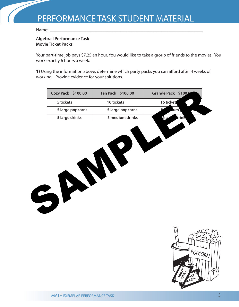Name:

# **Algebra I Performance Task Movie Ticket Packs**

Your part-time job pays \$7.25 an hour. You would like to take a group of friends to the movies. You work exactly 6 hours a week.

**1)** Using the information above, determine which party packs you can afford after 4 weeks of working. Provide evidence for your solutions.

| Cozy Pack \$100.00 | Ten Pack \$100.00 | Grande Pack \$100.0 |
|--------------------|-------------------|---------------------|
| 5 tickets          | 10 tickets        | 16 ticket           |
| 5 large popcorns   | 5 large popcorns  | lum i               |
| 5 large drinks     | 5 medium drinks   | Irink<br>6 sn       |
| $\mathbf{S}$       | N<br>N            |                     |

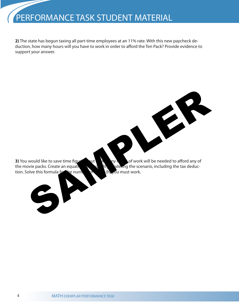# PERFORMANCE TASK STUDENT MATERIAL

**2)** The state has begun taxing all part-time employees at an 11% rate. With this new paycheck deduction, how many hours will you have to work in order to afford the Ten Pack? Provide evidence to support your answer.

**3)** You would like to save time figuring out how many hours of work will be needed to afford any of the movie packs. Create an equation of  $\begin{pmatrix} 1 & 1 \end{pmatrix}$  or  $\begin{pmatrix} 1 & 1 \end{pmatrix}$  defing the scenario, including the tax deduction. Solve this formula for the number of  $\begin{pmatrix} 1 & 1 \end{pmatrix}$  ou must work. tion. Solve this formula for the number

SAMPLER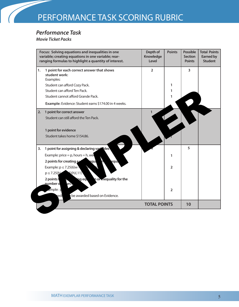# *Performance Task*

*Movie Ticket Packs*

|    | Focus: Solving equations and inequalities in one<br>variable; creating equations in one variable; rear-<br>ranging formulas to highlight a quantity of interest. | Depth of<br><b>Knowledge</b><br><b>Level</b> | <b>Points</b>  | <b>Possible</b><br><b>Section</b><br><b>Points</b> | <b>Total Points</b><br>Earned by<br><b>Student</b> |
|----|------------------------------------------------------------------------------------------------------------------------------------------------------------------|----------------------------------------------|----------------|----------------------------------------------------|----------------------------------------------------|
| 1. | 1 point for each correct answer that shows<br>student work:<br>Examples:                                                                                         | $\overline{2}$                               |                | 3                                                  |                                                    |
|    | Student can afford Cozy Pack.                                                                                                                                    |                                              | 1              |                                                    |                                                    |
|    | Student can afford Ten Pack.                                                                                                                                     |                                              | 1              |                                                    |                                                    |
|    | Student cannot afford Grande Pack.                                                                                                                               |                                              | 1              |                                                    |                                                    |
|    | Example: Evidence: Student earns \$174.00 in 4 weeks.                                                                                                            |                                              |                |                                                    |                                                    |
| 2. | 1 point for correct answer                                                                                                                                       |                                              |                |                                                    |                                                    |
|    | Student can still afford the Ten Pack.                                                                                                                           |                                              |                |                                                    |                                                    |
|    | 1 point for evidence                                                                                                                                             |                                              |                |                                                    |                                                    |
|    | Student takes home \$154.86.                                                                                                                                     |                                              |                |                                                    |                                                    |
| 3. | 1 point for assigning & declaring variables                                                                                                                      |                                              |                | 5                                                  |                                                    |
|    | Example: price = $p$ , hours = $h$ , we                                                                                                                          |                                              | 1              |                                                    |                                                    |
|    | 2 points for creating a<br>equa<br>equa                                                                                                                          |                                              |                |                                                    |                                                    |
|    | Example: $p \le 7.25(6)w$                                                                                                                                        |                                              | $\overline{2}$ |                                                    |                                                    |
|    | 5(h)(.11)<br>$p \le 7.25(h)$                                                                                                                                     |                                              |                |                                                    |                                                    |
|    | ing eqt<br>n or mequality for the<br>2 points i                                                                                                                  |                                              |                |                                                    |                                                    |
|    | number o<br>$\overline{u}$                                                                                                                                       |                                              |                |                                                    |                                                    |
|    | ample: p                                                                                                                                                         |                                              | $\overline{2}$ |                                                    |                                                    |
|    | be awarded based on Evidence.<br>redi                                                                                                                            |                                              |                |                                                    |                                                    |
|    |                                                                                                                                                                  | <b>TOTAL POINTS</b>                          |                | 10                                                 |                                                    |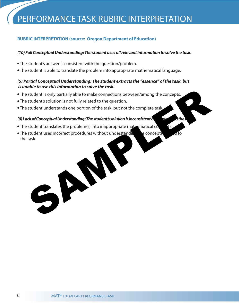# **RUBRIC INTERPRETATION (source: Oregon Department of Education)**

# *(10) Full Conceptual Understanding: The student uses all relevant information to solve the task.*

- The student's answer is consistent with the question/problem.
- The student is able to translate the problem into appropriate mathematical language.

# *(5) Partial Conceptual Understanding: The student extracts the "essence" of the task, but is unable to use this information to solve the task.*

- The student is only partially able to make connections between/among the concepts.
- The student's solution is not fully related to the question.
- The student understands one portion of the task, but not the complete task.

# *(0) Lack of Conceptual Understanding: The student's solution is inconsistent or unrelated to the task.*

- The student translates the problem(s) into inappropriate mathematical co
- The student uses incorrect procedures without understanding the concepts of to the task. student is only partially able to make connections between/among the concepts.<br>
student's solution is not fully related to the question.<br>
student understanding: The student's solution is inconsistent to<br>
student translates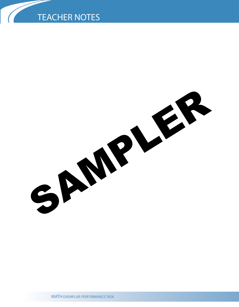# TEACHER NOTES